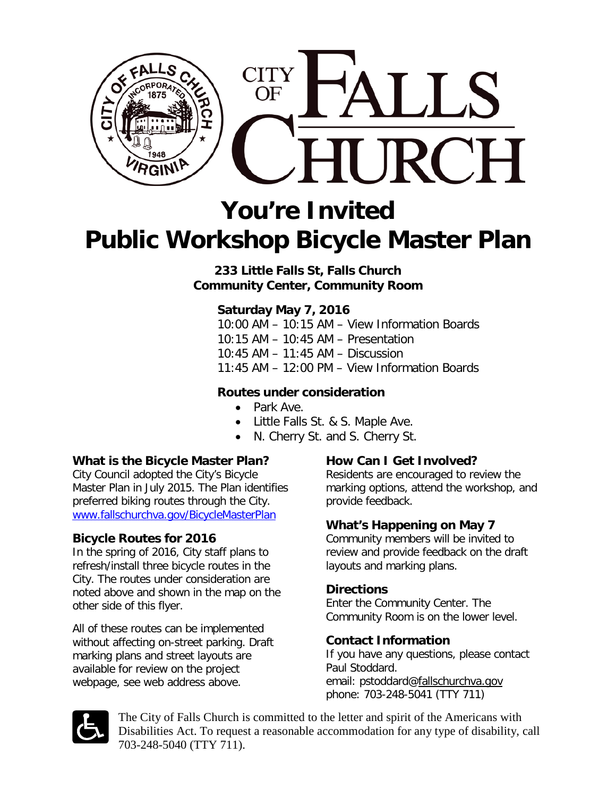

# **You're Invited Public Workshop Bicycle Master Plan**

**233 Little Falls St, Falls Church Community Center, Community Room**

## **Saturday May 7, 2016**

10:00 AM – 10:15 AM – View Information Boards 10:15 AM – 10:45 AM – Presentation 10:45 AM – 11:45 AM – Discussion 11:45 AM – 12:00 PM – View Information Boards

#### **Routes under consideration**

- Park Ave.
- Little Falls St. & S. Maple Ave.
- N. Cherry St. and S. Cherry St.

#### **What is the Bicycle Master Plan?**

City Council adopted the City's Bicycle Master Plan in July 2015. The Plan identifies preferred biking routes through the City. [www.fallschurchva.gov/BicycleMasterPlan](http://www.fallschurchva.gov/BicycleMasterPlan)

#### **Bicycle Routes for 2016**

In the spring of 2016, City staff plans to refresh/install three bicycle routes in the City. The routes under consideration are noted above and shown in the map on the other side of this flyer.

All of these routes can be implemented without affecting on-street parking. Draft marking plans and street layouts are available for review on the project webpage, see web address above.

### **How Can I Get Involved?**

Residents are encouraged to review the marking options, attend the workshop, and provide feedback.

#### **What's Happening on May 7**

Community members will be invited to review and provide feedback on the draft layouts and marking plans.

#### **Directions**

Enter the Community Center. The Community Room is on the lower level.

#### **Contact Information**

If you have any questions, please contact Paul Stoddard. email: pstoddard[@fallschurchva.gov](mailto:plan@fallschurchva.gov) phone: 703-248-5041 (TTY 711)



The City of Falls Church is committed to the letter and spirit of the Americans with Disabilities Act. To request a reasonable accommodation for any type of disability, call 703-248-5040 (TTY 711).